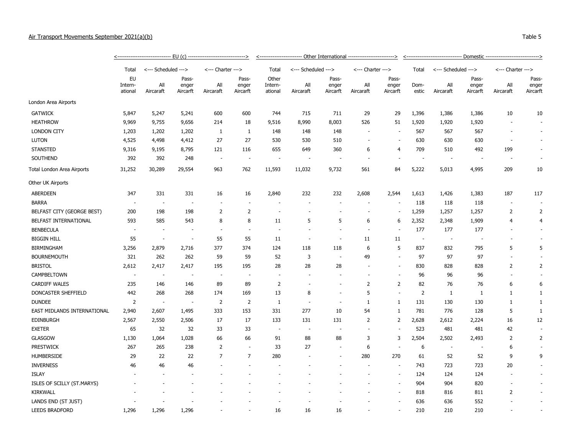## Air Transport Movements September 2021(a)(b) Table 5

|                             | Total                    |                  | <--- Scheduled --->        |                          | <--- Charter --->          |                             | <--- Scheduled ---> |                            | <--- Charter ---> |                            | Total                    | <--- Scheduled --->      |                            | <--- Charter --->        |                            |  |  |
|-----------------------------|--------------------------|------------------|----------------------------|--------------------------|----------------------------|-----------------------------|---------------------|----------------------------|-------------------|----------------------------|--------------------------|--------------------------|----------------------------|--------------------------|----------------------------|--|--|
|                             | EU<br>Intern-<br>ational | All<br>Aircaraft | Pass-<br>enger<br>Aircarft | All<br>Aircaraft         | Pass-<br>enger<br>Aircarft | Other<br>Intern-<br>ational | All<br>Aircaraft    | Pass-<br>enger<br>Aircarft | All<br>Aircaraft  | Pass-<br>enger<br>Aircarft | Dom-<br>estic            | All<br>Aircaraft         | Pass-<br>enger<br>Aircarft | All<br>Aircaraft         | Pass-<br>enger<br>Aircarft |  |  |
| London Area Airports        |                          |                  |                            |                          |                            |                             |                     |                            |                   |                            |                          |                          |                            |                          |                            |  |  |
| <b>GATWICK</b>              | 5,847                    | 5,247            | 5,241                      | 600                      | 600                        | 744                         | 715                 | 711                        | 29                | 29                         | 1,396                    | 1,386                    | 1,386                      | 10                       | 10                         |  |  |
| <b>HEATHROW</b>             | 9,969                    | 9,755            | 9,656                      | 214                      | 18                         | 9,516                       | 8,990               | 8,003                      | 526               | 51                         | 1,920                    | 1,920                    | 1,920                      |                          |                            |  |  |
| <b>LONDON CITY</b>          | 1,203                    | 1,202            | 1,202                      | 1                        | $\mathbf{1}$               | 148                         | 148                 | 148                        |                   | $\sim$                     | 567                      | 567                      | 567                        |                          |                            |  |  |
| <b>LUTON</b>                | 4,525                    | 4,498            | 4,412                      | 27                       | 27                         | 530                         | 530                 | 510                        |                   | $\sim$                     | 630                      | 630                      | 630                        |                          |                            |  |  |
| <b>STANSTED</b>             | 9,316                    | 9,195            | 8,795                      | 121                      | 116                        | 655                         | 649                 | 360                        | 6                 | $\overline{4}$             | 709                      | 510                      | 492                        | 199                      |                            |  |  |
| SOUTHEND                    | 392                      | 392              | 248                        | $\overline{\phantom{a}}$ | $\overline{\phantom{a}}$   | $\overline{\phantom{a}}$    |                     |                            |                   | $\sim$                     | $\overline{\phantom{a}}$ | $\overline{\phantom{a}}$ | $\overline{\phantom{a}}$   |                          |                            |  |  |
| Total London Area Airports  | 31,252                   | 30,289           | 29,554                     | 963                      | 762                        | 11,593                      | 11,032              | 9,732                      | 561               | 84                         | 5,222                    | 5,013                    | 4,995                      | 209                      | 10                         |  |  |
| Other UK Airports           |                          |                  |                            |                          |                            |                             |                     |                            |                   |                            |                          |                          |                            |                          |                            |  |  |
| <b>ABERDEEN</b>             | 347                      | 331              | 331                        | 16                       | 16                         | 2,840                       | 232                 | 232                        | 2,608             | 2,544                      | 1,613                    | 1,426                    | 1,383                      | 187                      | 117                        |  |  |
| <b>BARRA</b>                | $\sim$                   | $\sim$           | $\overline{\phantom{a}}$   | $\overline{\phantom{a}}$ | $\overline{\phantom{a}}$   |                             |                     |                            |                   | $\sim$                     | 118                      | 118                      | 118                        | $\overline{\phantom{a}}$ |                            |  |  |
| BELFAST CITY (GEORGE BEST)  | 200                      | 198              | 198                        | $\overline{2}$           | $\overline{2}$             |                             |                     |                            |                   | $\overline{\phantom{a}}$   | 1,259                    | 1,257                    | 1,257                      | $\overline{2}$           | $\overline{2}$             |  |  |
| BELFAST INTERNATIONAL       | 593                      | 585              | 543                        | 8                        | 8                          | 11                          | 5                   | 5                          | 6                 | 6                          | 2,352                    | 2,348                    | 1,909                      | 4                        | $\overline{4}$             |  |  |
| <b>BENBECULA</b>            | $\overline{\phantom{a}}$ | $\sim$           |                            | $\overline{\phantom{a}}$ | $\overline{\phantom{a}}$   |                             |                     |                            |                   | $\overline{a}$             | 177                      | 177                      | 177                        |                          |                            |  |  |
| <b>BIGGIN HILL</b>          | 55                       | ÷.               | ÷.                         | 55                       | 55                         | 11                          |                     |                            | 11                | 11                         | $\sim$                   | $\overline{\phantom{a}}$ |                            |                          |                            |  |  |
| <b>BIRMINGHAM</b>           | 3,256                    | 2,879            | 2,716                      | 377                      | 374                        | 124                         | 118                 | 118                        | 6                 | 5                          | 837                      | 832                      | 795                        | 5                        | 5                          |  |  |
| <b>BOURNEMOUTH</b>          | 321                      | 262              | 262                        | 59                       | 59                         | 52                          | 3                   | $\overline{\phantom{a}}$   | 49                | ÷.                         | 97                       | 97                       | 97                         | $\sim$                   |                            |  |  |
| <b>BRISTOL</b>              | 2,612                    | 2,417            | 2,417                      | 195                      | 195                        | 28                          | 28                  | 28                         |                   | $\sim$                     | 830                      | 828                      | 828                        | $\overline{2}$           | $\overline{2}$             |  |  |
| CAMPBELTOWN                 | $\overline{\phantom{a}}$ | $\sim$           | $\overline{\phantom{a}}$   | $\sim$                   | $\overline{\phantom{a}}$   |                             |                     |                            |                   | $\overline{\phantom{a}}$   | 96                       | 96                       | 96                         |                          |                            |  |  |
| <b>CARDIFF WALES</b>        | 235                      | 146              | 146                        | 89                       | 89                         | $\overline{2}$              |                     |                            | $\overline{2}$    | 2                          | 82                       | 76                       | 76                         | 6                        | 6                          |  |  |
| DONCASTER SHEFFIELD         | 442                      | 268              | 268                        | 174                      | 169                        | 13                          | 8                   |                            | 5                 | $\overline{\phantom{a}}$   | 2                        | $\mathbf{1}$             | 1                          | 1                        | 1                          |  |  |
| <b>DUNDEE</b>               | $\overline{2}$           | $\sim$           | $\blacksquare$             | $\overline{2}$           | 2                          | $\mathbf{1}$                |                     |                            | 1                 | 1                          | 131                      | 130                      | 130                        | 1                        | 1                          |  |  |
| EAST MIDLANDS INTERNATIONAL | 2,940                    | 2,607            | 1,495                      | 333                      | 153                        | 331                         | 277                 | 10                         | 54                | 1                          | 781                      | 776                      | 128                        | 5                        | 1                          |  |  |
| <b>EDINBURGH</b>            | 2,567                    | 2,550            | 2,506                      | 17                       | 17                         | 133                         | 131                 | 131                        | $\overline{2}$    | 2                          | 2,628                    | 2,612                    | 2,224                      | 16                       | 12                         |  |  |
| <b>EXETER</b>               | 65                       | 32               | 32                         | 33                       | 33                         | $\sim$                      |                     | $\overline{\phantom{a}}$   |                   | $\overline{\phantom{a}}$   | 523                      | 481                      | 481                        | 42                       | $\sim$                     |  |  |
| <b>GLASGOW</b>              | 1,130                    | 1,064            | 1,028                      | 66                       | 66                         | 91                          | 88                  | 88                         | 3                 | 3                          | 2,504                    | 2,502                    | 2,493                      | $\overline{2}$           | $\overline{2}$             |  |  |
| <b>PRESTWICK</b>            | 267                      | 265              | 238                        | $\overline{2}$           | ÷.                         | 33                          | 27                  | $\overline{\phantom{a}}$   | 6                 | ÷.                         | 6                        | $\overline{\phantom{a}}$ | $\sim$                     | 6                        |                            |  |  |
| <b>HUMBERSIDE</b>           | 29                       | 22               | 22                         | $\overline{7}$           | $\overline{7}$             | 280                         |                     |                            | 280               | 270                        | 61                       | 52                       | 52                         | 9                        | 9                          |  |  |
| <b>INVERNESS</b>            | 46                       | 46               | 46                         |                          |                            |                             |                     |                            |                   | ÷                          | 743                      | 723                      | 723                        | 20                       |                            |  |  |
| <b>ISLAY</b>                |                          |                  |                            |                          |                            |                             |                     |                            |                   |                            | 124                      | 124                      | 124                        |                          |                            |  |  |

ISLES OF SCILLY (ST.MARYS) - - - - - - - - - - 904 904 820 - - KIRKWALL - - - - - - - - - - 818 816 811 2 - LANDS END (ST JUST) - - - - - - - - - - 636 636 552 - - LEEDS BRADFORD 1,296 1,296 1,296 - - 16 16 16 - - 210 210 210 - -